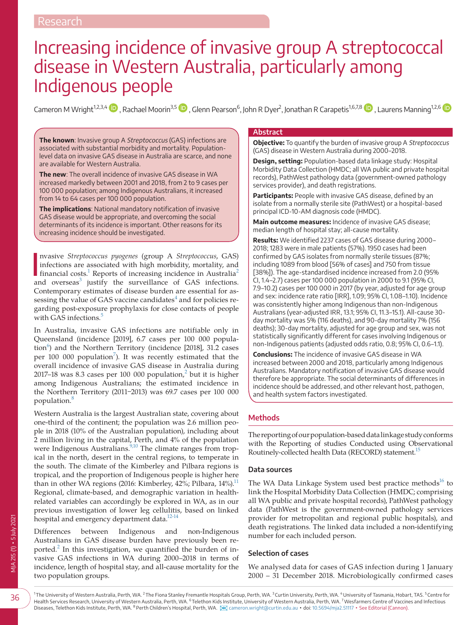# Increasing incidence of invasive group A streptococcal disease in Western Australia, particularly among Indigenous people

Cameron M Wright<sup>1[,](https://orcid.org/0000-0002-1182-9792)2,3,4</sup>  $\blacksquare$  , Rachael Moorin<sup>3,5</sup>  $\blacksquare$  , Glenn Pearson $^6$ , John R Dyer $^2$ , Jonathan R Carapetis $^{16,7,8}$   $\blacksquare$  , Laurens Manning $^{12,6}$ 

**The known**: Invasive group A Streptococcus (GAS) infections are associated with substantial morbidity and mortality. Populationlevel data on invasive GAS disease in Australia are scarce, and none are available for Western Australia.

**The new**: The overall incidence of invasive GAS disease in WA increased markedly between 2001 and 2018, from 2 to 9 cases per 100 000 population; among Indigenous Australians, it increased from 14 to 64 cases per 100 000 population.

**The implications**: National mandatory notification of invasive GAS disease would be appropriate, and overcoming the social determinants of its incidence is important. Other reasons for its increasing incidence should be investigated.

nvasive *Streptococcus pyogenes* (group A *Streptococcus*, GAS) infections are associated with high morbidity, mortality, and financial costs.<sup>1</sup> Reports of increasing incidence in Australia<sup>[2](#page-4-1)</sup> nvasive *Streptococcus pyogenes* (group A *Streptococcus*, GAS) infections are associated with high morbidity, mortality, and and overseas<sup>[3](#page-4-2)</sup> justify the surveillance of GAS infections. Contemporary estimates of disease burden are essential for as-sessing the value of GAS vaccine candidates<sup>[4](#page-4-3)</sup> and for policies regarding post-exposure prophylaxis for close contacts of people with GAS infections.<sup>[5](#page-4-4)</sup>

In Australia, invasive GAS infections are notifiable only in Queensland (incidence [2019], 6.7 cases per 100 000 popula-tion<sup>[6](#page-4-5)</sup>) and the Northern Territory (incidence [2018], 31.2 cases per 100 000 population<sup>[7](#page-4-6)</sup>). It was recently estimated that the overall incidence of invasive GAS disease in Australia during [2](#page-4-1)017–18 was 8.3 cases per 100 000 population, $^2$  but it is higher among Indigenous Australians; the estimated incidence in the Northern Territory (2011-2013) was 69.7 cases per 100 000 population.[8](#page-4-7)

Western Australia is the largest Australian state, covering about one-third of the continent; the population was 2.6 million people in 2018 (10% of the Australian population), including about 2 million living in the capital, Perth, and 4% of the population were Indigenous Australians.<sup>9,10</sup> The climate ranges from tropical in the north, desert in the central regions, to temperate in the south. The climate of the Kimberley and Pilbara regions is tropical, and the proportion of Indigenous people is higher here than in other WA regions (2016: Kimberley, 42%; Pilbara,  $14\%$ .<sup>11</sup> Regional, climate-based, and demographic variation in healthrelated variables can accordingly be explored in WA, as in our previous investigation of lower leg cellulitis, based on linked hospital and emergency department data.<sup>12-14</sup>

Differences between Indigenous and non-Indigenous Australians in GAS disease burden have previously been re-ported.<sup>[2](#page-4-1)</sup> In this investigation, we quantified the burden of invasive GAS infections in WA during 2000–2018 in terms of incidence, length of hospital stay, and all-cause mortality for the two population groups.

#### **Abstract**

**Objective:** To quantify the burden of invasive group A Streptococcus (GAS) disease in Western Australia during 2000–2018.

**Design, setting:** Population-based data linkage study: Hospital Morbidity Data Collection (HMDC; all WA public and private hospital records), PathWest pathology data (government-owned pathology services provider), and death registrations.

**Participants:** People with invasive GAS disease, defined by an isolate from a normally sterile site (PathWest) or a hospital-based principal ICD-10-AM diagnosis code (HMDC).

**Main outcome measures:** Incidence of invasive GAS disease; median length of hospital stay; all-cause mortality.

Results: We identified 2237 cases of GAS disease during 2000-2018; 1283 were in male patients (57%). 1950 cases had been confirmed by GAS isolates from normally sterile tissues (87%; including 1089 from blood [56% of cases] and 750 from tissue [38%]). The age-standardised incidence increased from 2.0 (95% CI, 1.4–2.7) cases per 100 000 population in 2000 to 9.1 (95% CI, 7.9–10.2) cases per 100 000 in 2017 (by year, adjusted for age group and sex: incidence rate ratio [IRR], 1.09; 95% CI, 1.08–1.10). Incidence was consistently higher among Indigenous than non-Indigenous Australians (year-adjusted IRR, 13.1; 95% CI, 11.3–15.1). All-cause 30 day mortality was 5% (116 deaths), and 90-day mortality 7% (156 deaths); 30-day mortality, adjusted for age group and sex, was not statistically significantly different for cases involving Indigenous or non-Indigenous patients (adjusted odds ratio, 0.8; 95% CI, 0.6–1.1).

**Conclusions:** The incidence of invasive GAS disease in WA increased between 2000 and 2018, particularly among Indigenous Australians. Mandatory notification of invasive GAS disease would therefore be appropriate. The social determinants of differences in incidence should be addressed, and other relevant host, pathogen, and health system factors investigated.

## **Methods**

The reporting of our population-based data linkage study conforms with the Reporting of studies Conducted using Observational Routinely-collected health Data (RECORD) statement.<sup>15</sup>

### **Data sources**

The WA Data Linkage System used best practice methods<sup>16</sup> to link the Hospital Morbidity Data Collection (HMDC; comprising all WA public and private hospital records), PathWest pathology data (PathWest is the government-owned pathology services provider for metropolitan and regional public hospitals), and death registrations. The linked data included a non-identifying number for each included person.

### **Selection of cases**

We analysed data for cases of GAS infection during 1 January 2000 – 31 December 2018. Microbiologically confirmed cases

<sup>1</sup>The University of Western Australia, Perth, WA. <sup>2</sup>The Fiona Stanley Fremantle Hospitals Group, Perth, WA. <sup>3</sup> Curtin University, Perth, WA. <sup>4</sup> University of Tasmania, Hobart, TAS. <sup>5</sup> Centre for Health Services Research, University of Western Australia, Perth, WA. <sup>6</sup> Telethon Kids Institute, University of Western Australia, Perth, WA. <sup>7</sup> Wesfarmers Centre of Vaccines and Infectious Diseases, Telethon Kids Institute, Perth, WA. <sup>8</sup> Perth Children's Hospital, Perth, WA. <sup>[26]</sup> [cameron.wright@curtin.edu.au](mailto:﻿﻿cameron.wright@curtin.edu.au﻿﻿) • doi: [10.5694/mja2.51117](https://doi.org/10.5694/mja2.51117) • See Editorial (Cannon).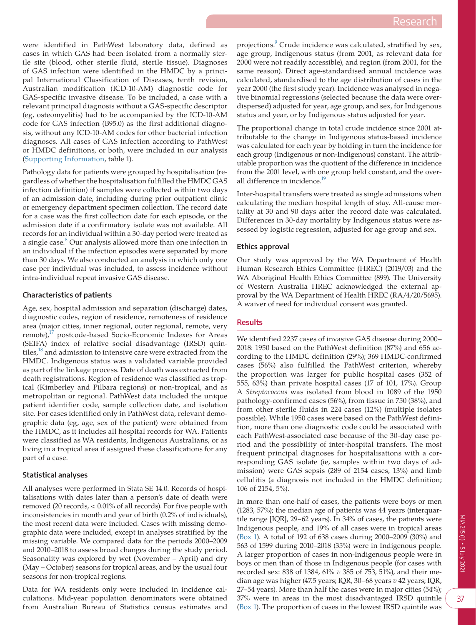were identified in PathWest laboratory data, defined as cases in which GAS had been isolated from a normally sterile site (blood, other sterile fluid, sterile tissue). Diagnoses of GAS infection were identified in the HMDC by a principal International Classification of Diseases, tenth revision, Australian modification (ICD-10-AM) diagnostic code for GAS-specific invasive disease. To be included, a case with a relevant principal diagnosis without a GAS-specific descriptor (eg, osteomyelitis) had to be accompanied by the ICD-10-AM code for GAS infection (B95.0) as the first additional diagnosis, without any ICD-10-AM codes for other bacterial infection diagnoses. All cases of GAS infection according to PathWest or HMDC definitions, or both, were included in our analysis [\(Supporting Information,](#page-5-0) table 1).

Pathology data for patients were grouped by hospitalisation (regardless of whether the hospitalisation fulfilled the HMDC GAS infection definition) if samples were collected within two days of an admission date, including during prior outpatient clinic or emergency department specimen collection. The record date for a case was the first collection date for each episode, or the admission date if a confirmatory isolate was not available. All records for an individual within a 30-day period were treated as a single case.<sup>[8](#page-4-7)</sup> Our analysis allowed more than one infection in an individual if the infection episodes were separated by more than 30 days. We also conducted an analysis in which only one case per individual was included, to assess incidence without intra-individual repeat invasive GAS disease.

# **Characteristics of patients**

Age, sex, hospital admission and separation (discharge) dates, diagnostic codes, region of residence, remoteness of residence area (major cities, inner regional, outer regional, remote, very remote), $17$  postcode-based Socio-Economic Indexes for Areas (SEIFA) index of relative social disadvantage (IRSD) quintiles,<sup>18</sup> and admission to intensive care were extracted from the HMDC. Indigenous status was a validated variable provided as part of the linkage process. Date of death was extracted from death registrations. Region of residence was classified as tropical (Kimberley and Pilbara regions) or non-tropical, and as metropolitan or regional. PathWest data included the unique patient identifier code, sample collection date, and isolation site. For cases identified only in PathWest data, relevant demographic data (eg, age, sex of the patient) were obtained from the HMDC, as it includes all hospital records for WA. Patients were classified as WA residents, Indigenous Australians, or as living in a tropical area if assigned these classifications for any part of a case.

## **Statistical analyses**

All analyses were performed in Stata SE 14.0. Records of hospitalisations with dates later than a person's date of death were removed (20 records, < 0.01% of all records). For five people with inconsistencies in month and year of birth (0.2% of individuals), the most recent data were included. Cases with missing demographic data were included, except in analyses stratified by the missing variable. We compared data for the periods 2000–2009 and 2010–2018 to assess broad changes during the study period. Seasonality was explored by wet (November – April) and dry (May – October) seasons for tropical areas, and by the usual four seasons for non-tropical regions.

Data for WA residents only were included in incidence calculations. Mid-year population denominators were obtained from Australian Bureau of Statistics census estimates and

projections.<sup>9</sup> Crude incidence was calculated, stratified by sex, age group, Indigenous status (from 2001, as relevant data for 2000 were not readily accessible), and region (from 2001, for the same reason). Direct age-standardised annual incidence was calculated, standardised to the age distribution of cases in the year 2000 (the first study year). Incidence was analysed in negative binomial regressions (selected because the data were overdispersed) adjusted for year, age group, and sex, for Indigenous status and year, or by Indigenous status adjusted for year.

The proportional change in total crude incidence since 2001 attributable to the change in Indigenous status-based incidence was calculated for each year by holding in turn the incidence for each group (Indigenous or non-Indigenous) constant. The attributable proportion was the quotient of the difference in incidence from the 2001 level, with one group held constant, and the overall difference in incidence.<sup>19</sup>

Inter-hospital transfers were treated as single admissions when calculating the median hospital length of stay. All-cause mortality at 30 and 90 days after the record date was calculated. Differences in 30-day mortality by Indigenous status were assessed by logistic regression, adjusted for age group and sex.

# **Ethics approval**

Our study was approved by the WA Department of Health Human Research Ethics Committee (HREC) (2019/03) and the WA Aboriginal Health Ethics Committee (899). The University of Western Australia HREC acknowledged the external approval by the WA Department of Health HREC (RA/4/20/5695). A waiver of need for individual consent was granted.

## **Results**

We identified 2237 cases of invasive GAS disease during 2000– 2018: 1950 based on the PathWest definition (87%) and 656 according to the HMDC definition (29%); 369 HMDC-confirmed cases (56%) also fulfilled the PathWest criterion, whereby the proportion was larger for public hospital cases (352 of 555, 63%) than private hospital cases (17 of 101, 17%). Group A *Streptococcus* was isolated from blood in 1089 of the 1950 pathology-confirmed cases (56%), from tissue in 750 (38%), and from other sterile fluids in 224 cases (12%) (multiple isolates possible). While 1950 cases were based on the PathWest definition, more than one diagnostic code could be associated with each PathWest-associated case because of the 30-day case period and the possibility of inter-hospital transfers. The most frequent principal diagnoses for hospitalisations with a corresponding GAS isolate (ie, samples within two days of admission) were GAS sepsis (289 of 2154 cases, 13%) and limb cellulitis (a diagnosis not included in the HMDC definition; 106 of 2154, 5%).

In more than one-half of cases, the patients were boys or men (1283, 57%); the median age of patients was 44 years (interquartile range [IQR], 29–62 years). In 34% of cases, the patients were Indigenous people, and 19% of all cases were in tropical areas ([Box 1](#page-2-0)). A total of 192 of 638 cases during 2000–2009 (30%) and 563 of 1599 during 2010–2018 (35%) were in Indigenous people. A larger proportion of cases in non-Indigenous people were in boys or men than of those in Indigenous people (for cases with recorded sex: 838 of 1384, 61% *v* 385 of 753, 51%), and their median age was higher (47.5 years; IQR, 30–68 years *v* 42 years; IQR, 27–54 years). More than half the cases were in major cities (54%); 37% were in areas in the most disadvantaged IRSD quintile ([Box 1\)](#page-2-0). The proportion of cases in the lowest IRSD quintile was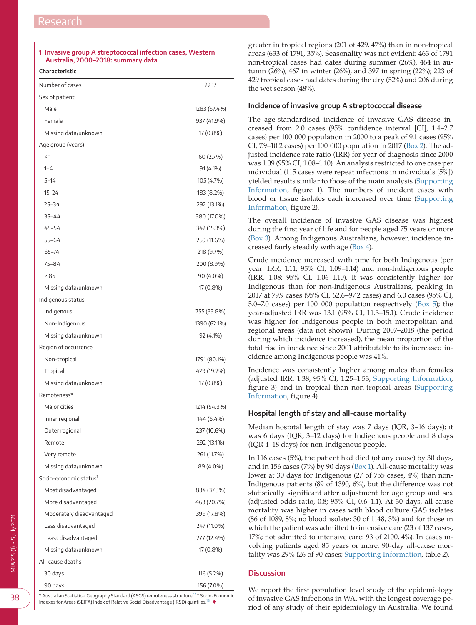## <span id="page-2-0"></span>**1 Invasive group A streptococcal infection cases, Western Australia, 2000–2018: summary data**

**Characteristic**

| Number of cases                    | 2237         |
|------------------------------------|--------------|
| Sex of patient                     |              |
| Male                               | 1283 (57.4%) |
| Female                             | 937 (41.9%)  |
| Missing data/unknown               | 17 (0.8%)    |
| Age group (years)                  |              |
| < 1                                | 60 (2.7%)    |
| $1 - 4$                            | 91 (4.1%)    |
| $5 - 14$                           | 105 (4.7%)   |
| $15 - 24$                          | 183 (8.2%)   |
| $25 - 34$                          | 292 (13.1%)  |
| $35 - 44$                          | 380 (17.0%)  |
| 45-54                              | 342 (15.3%)  |
| $55 - 64$                          | 259 (11.6%)  |
| 65-74                              | 218 (9.7%)   |
| 75-84                              | 200 (8.9%)   |
| $\geq 85$                          | 90 (4.0%)    |
| Missing data/unknown               | 17 (0.8%)    |
| Indigenous status                  |              |
| Indigenous                         | 755 (33.8%)  |
| Non-Indigenous                     | 1390 (62.1%) |
| Missing data/unknown               | 92 (4.1%)    |
| Region of occurrence               |              |
| Non-tropical                       | 1791 (80.1%) |
| Tropical                           | 429 (19.2%)  |
| Missing data/unknown               | 17 (0.8%)    |
| Remoteness*                        |              |
| Major cities                       | 1214 (54.3%) |
| Inner regional                     | 144 (6.4%)   |
| Outer regional                     | 237 (10.6%)  |
| Remote                             | 292 (13.1%)  |
| Very remote                        | 261 (11.7%)  |
| Missing data/unknown               | 89 (4.0%)    |
| Socio-economic status <sup>†</sup> |              |
| Most disadvantaged                 | 834 (37.3%)  |
| More disadvantaged                 | 463 (20.7%)  |
| Moderately disadvantaged           | 399 (17.8%)  |
| Less disadvantaged                 | 247 (11.0%)  |
| Least disadvantaged                | 277 (12.4%)  |
| Missing data/unknown               | 17 (0.8%)    |
| All-cause deaths                   |              |
| 30 days                            | 116 (5.2%)   |
| 90 days                            | 156 (7.0%)   |

 $^{\prime}$  Australian Statistical Geography Standard (ASGS) remoteness structure. $^{17}$  $^{17}$  $^{17}$  † Socio-Economic Indexes for Areas (SEIFA) Index of Relative Social Disadvantage (IRSD) quintiles[.18](#page-4-14) ◆

greater in tropical regions (201 of 429, 47%) than in non-tropical areas (633 of 1791, 35%). Seasonality was not evident: 463 of 1791 non-tropical cases had dates during summer (26%), 464 in autumn (26%), 467 in winter (26%), and 397 in spring (22%); 223 of 429 tropical cases had dates during the dry (52%) and 206 during the wet season (48%).

### **Incidence of invasive group A streptococcal disease**

The age-standardised incidence of invasive GAS disease increased from 2.0 cases (95% confidence interval [CI], 1.4–2.7 cases) per 100 000 population in 2000 to a peak of 9.1 cases (95% CI, 7.9–10.2 cases) per 100 000 population in 2017 [\(Box 2\)](#page-3-0). The adjusted incidence rate ratio (IRR) for year of diagnosis since 2000 was 1.09 (95% CI, 1.08–1.10). An analysis restricted to one case per individual (115 cases were repeat infections in individuals [5%]) yielded results similar to those of the main analysis [\(Supporting](#page-5-0)  [Information](#page-5-0), figure 1). The numbers of incident cases with blood or tissue isolates each increased over time [\(Supporting](#page-5-0)  [Information](#page-5-0), figure 2).

The overall incidence of invasive GAS disease was highest during the first year of life and for people aged 75 years or more ([Box 3\)](#page-3-1). Among Indigenous Australians, however, incidence increased fairly steadily with age ([Box 4\)](#page-3-2).

Crude incidence increased with time for both Indigenous (per year: IRR, 1.11; 95% CI, 1.09–1.14) and non-Indigenous people (IRR, 1.08; 95% CI, 1.06–1.10). It was consistently higher for Indigenous than for non-Indigenous Australians, peaking in 2017 at 79.9 cases (95% CI, 62.6–97.2 cases) and 6.0 cases (95% CI, 5.0–7.0 cases) per 100 000 population respectively ([Box 5\)](#page-4-15); the year-adjusted IRR was 13.1 (95% CI, 11.3–15.1). Crude incidence was higher for Indigenous people in both metropolitan and regional areas (data not shown). During 2007–2018 (the period during which incidence increased), the mean proportion of the total rise in incidence since 2001 attributable to its increased incidence among Indigenous people was 41%.

Incidence was consistently higher among males than females (adjusted IRR, 1.38; 95% CI, 1.25–1.53; [Supporting Information,](#page-5-0) figure 3) and in tropical than non-tropical areas [\(Supporting](#page-5-0)  [Information](#page-5-0), figure 4).

### **Hospital length of stay and all-cause mortality**

Median hospital length of stay was 7 days (IQR, 3–16 days); it was 6 days (IQR, 3–12 days) for Indigenous people and 8 days (IQR 4–18 days) for non-Indigenous people.

In 116 cases (5%), the patient had died (of any cause) by 30 days, and in 156 cases (7%) by 90 days [\(Box 1](#page-2-0)). All-cause mortality was lower at 30 days for Indigenous (27 of 755 cases, 4%) than non-Indigenous patients (89 of 1390, 6%), but the difference was not statistically significant after adjustment for age group and sex (adjusted odds ratio, 0.8; 95% CI, 0.6–1.1). At 30 days, all-cause mortality was higher in cases with blood culture GAS isolates (86 of 1089, 8%; no blood isolate: 30 of 1148, 3%) and for those in which the patient was admitted to intensive care (23 of 137 cases, 17%; not admitted to intensive care: 93 of 2100, 4%). In cases involving patients aged 85 years or more, 90-day all-cause mortality was 29% (26 of 90 cases; [Supporting Information,](#page-5-0) table 2).

# **Discussion**

We report the first population level study of the epidemiology of invasive GAS infections in WA, with the longest coverage period of any study of their epidemiology in Australia. We found

38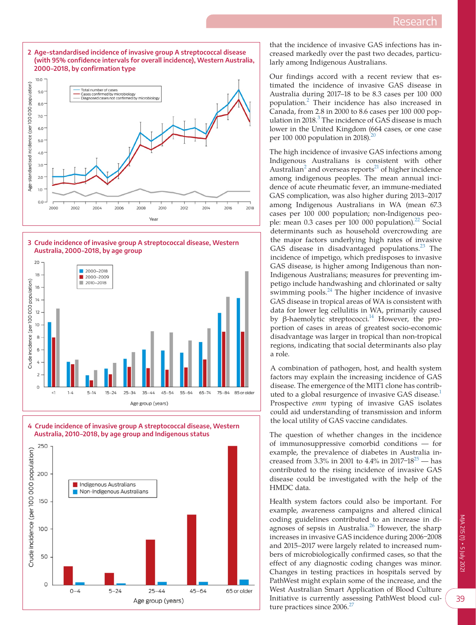<span id="page-3-0"></span>

<span id="page-3-1"></span>

<span id="page-3-2"></span>



that the incidence of invasive GAS infections has increased markedly over the past two decades, particularly among Indigenous Australians.

Our findings accord with a recent review that estimated the incidence of invasive GAS disease in Australia during 2017–18 to be 8.3 cases per 100 000 population.[2](#page-4-1) Their incidence has also increased in Canada, from 2.8 in 2000 to 8.6 cases per 100 000 pop-ulation in 2018.<sup>[3](#page-4-2)</sup> The incidence of GAS disease is much lower in the United Kingdom (664 cases, or one case per 100 000 population in  $2018$  $2018$ ).<sup>2</sup>

The high incidence of invasive GAS infections among Indigenous Australians is consistent with other Australian<sup>[2](#page-4-1)</sup> and overseas reports<sup>21</sup> of higher incidence among indigenous peoples. The mean annual incidence of acute rheumatic fever, an immune-mediated GAS complication, was also higher during 2013–2017 among Indigenous Australians in WA (mean 67.3 cases per 100 000 population; non-Indigenous people: mean  $0.3$  cases per 100 000 population).<sup>[22](#page-5-4)</sup> Social determinants such as household overcrowding are the major factors underlying high rates of invasive GAS disease in disadvantaged populations.<sup>[23](#page-5-5)</sup> The incidence of impetigo, which predisposes to invasive GAS disease, is higher among Indigenous than non-Indigenous Australians; measures for preventing impetigo include handwashing and chlorinated or salty swimming pools. $^{24}$  The higher incidence of invasive GAS disease in tropical areas of WA is consistent with data for lower leg cellulitis in WA, primarily caused by β-haemolytic streptococci.<sup>14</sup> However, the proportion of cases in areas of greatest socio-economic disadvantage was larger in tropical than non-tropical regions, indicating that social determinants also play a role.

A combination of pathogen, host, and health system factors may explain the increasing incidence of GAS disease. The emergence of the M1T1 clone has contributed to a global resurgence of invasive GAS disease.<sup>1</sup> Prospective *emm* typing of invasive GAS isolates could aid understanding of transmission and inform the local utility of GAS vaccine candidates.

The question of whether changes in the incidence of immunosuppressive comorbid conditions — for example, the prevalence of diabetes in Australia increased from 3.3% in 2001 to 4.4% in 2017–18<sup>25</sup> — has contributed to the rising incidence of invasive GAS disease could be investigated with the help of the HMDC data.

Health system factors could also be important. For example, awareness campaigns and altered clinical coding guidelines contributed to an increase in diagnoses of sepsis in Australia.<sup>26</sup> However, the sharp increases in invasive GAS incidence during 2006-2008 and 2015–2017 were largely related to increased numbers of microbiologically confirmed cases, so that the effect of any diagnostic coding changes was minor. Changes in testing practices in hospitals served by PathWest might explain some of the increase, and the West Australian Smart Application of Blood Culture Initiative is currently assessing PathWest blood cul-ture practices since 2006.<sup>[27](#page-5-9)</sup>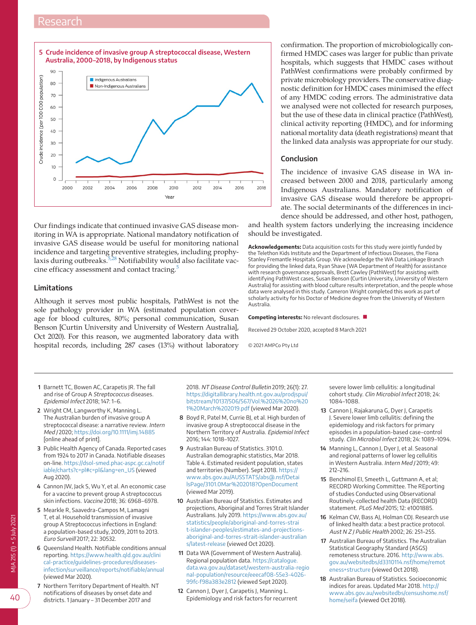<span id="page-4-15"></span>

Our findings indicate that continued invasive GAS disease monitoring in WA is appropriate. National mandatory notification of invasive GAS disease would be useful for monitoring national incidence and targeting preventive strategies, including prophy-laxis during outbreaks.<sup>[5,28](#page-4-4)</sup> Notifiability would also facilitate vac-cine efficacy assessment and contact tracing.<sup>[5](#page-4-4)</sup>

## **Limitations**

Although it serves most public hospitals, PathWest is not the sole pathology provider in WA (estimated population coverage for blood cultures, 80%; personal communication, Susan Benson [Curtin University and University of Western Australia], Oct 2020). For this reason, we augmented laboratory data with hospital records, including 287 cases (13%) without laboratory confirmation. The proportion of microbiologically confirmed HMDC cases was larger for public than private hospitals, which suggests that HMDC cases without PathWest confirmations were probably confirmed by private microbiology providers. The conservative diagnostic definition for HMDC cases minimised the effect of any HMDC coding errors. The administrative data we analysed were not collected for research purposes, but the use of these data in clinical practice (PathWest), clinical activity reporting (HMDC), and for informing national mortality data (death registrations) meant that the linked data analysis was appropriate for our study.

### **Conclusion**

The incidence of invasive GAS disease in WA increased between 2000 and 2018, particularly among Indigenous Australians. Mandatory notification of invasive GAS disease would therefore be appropriate. The social determinants of the differences in incidence should be addressed, and other host, pathogen,

and health system factors underlying the increasing incidence should be investigated.

**Acknowledgements:** Data acquisition costs for this study were jointly funded by the Telethon Kids Institute and the Department of Infectious Diseases, the Fiona Stanley Fremantle Hospitals Group. We acknowledge the WA Data Linkage Branch for providing the linked data, Ryan Shave (WA Department of Health) for assistance with research governance approvals, Brett Cawley (PathWest) for assisting with identifying PathWest cases, Susan Benson (Curtin University, University of Western Australia) for assisting with blood culture results interpretation, and the people whose data were analysed in this study. Cameron Wright completed this work as part of scholarly activity for his Doctor of Medicine degree from the University of Western Australia.

**Competing interests:** No relevant disclosures. ■

Received 29 October 2020, accepted 8 March 2021

© 2021 AMPCo Pty Ltd

- <span id="page-4-0"></span>**1** Barnett TC, Bowen AC, Carapetis JR. The fall and rise of Group A Streptococcus diseases. Epidemiol Infect 2018; 147: 1–6.
- <span id="page-4-1"></span>**2** Wright CM, Langworthy K, Manning L. The Australian burden of invasive group A streptococcal disease: a narrative review. Intern Med J 2020;<https://doi.org/10.1111/imj.14885> [online ahead of print].
- <span id="page-4-2"></span>**3** Public Health Agency of Canada. Reported cases from 1924 to 2017 in Canada. Notifiable diseases on-line. [https://dsol-smed.phac-aspc.gc.ca/notif](https://dsol-smed.phac-aspc.gc.ca/notifiable/charts?c=pl#c=pl&lang=en_US) [iable/charts?c=pl#c=pl&lang=en\\_US](https://dsol-smed.phac-aspc.gc.ca/notifiable/charts?c=pl#c=pl&lang=en_US) (viewed Aug 2020).
- <span id="page-4-3"></span>**4** Cannon JW, Jack S, Wu Y, et al. An economic case for a vaccine to prevent group A streptococcus skin infections. Vaccine 2018; 36: 6968–6978.
- <span id="page-4-4"></span>**5** Mearkle R, Saavedra-Campos M, Lamagni T, et al. Household transmission of invasive group A Streptococcus infections in England: a population-based study, 2009, 2011 to 2013. Euro Surveill 2017; 22: 30532.
- <span id="page-4-5"></span>**6** Queensland Health. Notifiable conditions annual reporting. [https://www.health.qld.gov.au/clini](https://www.health.qld.gov.au/clinical-practice/guidelines-procedures/diseases-infection/surveillance/reports/notifiable/annual) [cal-practice/guidelines-procedures/diseases](https://www.health.qld.gov.au/clinical-practice/guidelines-procedures/diseases-infection/surveillance/reports/notifiable/annual)[infection/surveillance/reports/notifiable/annual](https://www.health.qld.gov.au/clinical-practice/guidelines-procedures/diseases-infection/surveillance/reports/notifiable/annual) (viewed Mar 2020).
- <span id="page-4-6"></span>**7** Northern Territory Department of Health. NT notifications of diseases by onset date and districts. 1 January – 31 December 2017 and

2018. NT Disease Control Bulletin 2019; 26(1): 27. [https://digitallibrary.health.nt.gov.au/prodjspui/](https://digitallibrary.health.nt.gov.au/prodjspui/bitstream/10137/506/567/Vol. 26 no 1 March 2019.pdf) [bitstream/10137/506/567/Vol.%2026%20no%20](https://digitallibrary.health.nt.gov.au/prodjspui/bitstream/10137/506/567/Vol. 26 no 1 March 2019.pdf) [1%20March%202019.pdf](https://digitallibrary.health.nt.gov.au/prodjspui/bitstream/10137/506/567/Vol. 26 no 1 March 2019.pdf) (viewed Mar 2020).

- <span id="page-4-7"></span>**8** Boyd R, Patel M, Currie BJ, et al. High burden of invasive group A streptococcal disease in the Northern Territory of Australia. Epidemiol Infect 2016; 144: 1018–1027.
- <span id="page-4-8"></span>**9** Australian Bureau of Statistics. 3101.0. Australian demographic statistics, Mar 2018. Table 4. Estimated resident population, states and territories (Number). Sept 2018. [https://](https://www.abs.gov.au/AUSSTATS/abs@.nsf/DetailsPage/3101.0Mar 2018?OpenDocument) [www.abs.gov.au/AUSSTATS/abs@.nsf/Detai](https://www.abs.gov.au/AUSSTATS/abs@.nsf/DetailsPage/3101.0Mar 2018?OpenDocument) [lsPage/3101.0Mar%202018?OpenDocument](https://www.abs.gov.au/AUSSTATS/abs@.nsf/DetailsPage/3101.0Mar 2018?OpenDocument) (viewed Mar 2019).
- **10** Australian Bureau of Statistics. Estimates and projections, Aboriginal and Torres Strait Islander Australians. July 2019. [https://www.abs.gov.au/](https://www.abs.gov.au/statistics/people/aboriginal-and-torres-strait-islander-peoples/estimates-and-projections-aboriginal-and-torres-strait-islander-australians/latest-release) [statistics/people/aboriginal-and-torres-strai](https://www.abs.gov.au/statistics/people/aboriginal-and-torres-strait-islander-peoples/estimates-and-projections-aboriginal-and-torres-strait-islander-australians/latest-release) [t-islander-peoples/estimates-and-projections](https://www.abs.gov.au/statistics/people/aboriginal-and-torres-strait-islander-peoples/estimates-and-projections-aboriginal-and-torres-strait-islander-australians/latest-release)[aboriginal-and-torres-strait-islander-australian](https://www.abs.gov.au/statistics/people/aboriginal-and-torres-strait-islander-peoples/estimates-and-projections-aboriginal-and-torres-strait-islander-australians/latest-release) [s/latest-release](https://www.abs.gov.au/statistics/people/aboriginal-and-torres-strait-islander-peoples/estimates-and-projections-aboriginal-and-torres-strait-islander-australians/latest-release) (viewed Oct 2020).
- <span id="page-4-9"></span>**11** Data WA (Government of Western Australia). Regional population data. [https://catalogue.](https://catalogue.data.wa.gov.au/dataset/western-australia-regional-population/resource/eeecaf08-55e3-4026-99fc-f98a383e2812) [data.wa.gov.au/dataset/western-australia-regio](https://catalogue.data.wa.gov.au/dataset/western-australia-regional-population/resource/eeecaf08-55e3-4026-99fc-f98a383e2812) [nal-population/resource/eeecaf08-55e3-4026-](https://catalogue.data.wa.gov.au/dataset/western-australia-regional-population/resource/eeecaf08-55e3-4026-99fc-f98a383e2812) [99fc-f98a383e2812](https://catalogue.data.wa.gov.au/dataset/western-australia-regional-population/resource/eeecaf08-55e3-4026-99fc-f98a383e2812) (viewed Sept 2020).
- <span id="page-4-10"></span>**12** Cannon J, Dyer J, Carapetis J, Manning L. Epidemiology and risk factors for recurrent

severe lower limb cellulitis: a longitudinal cohort study. Clin Microbiol Infect 2018; 24: 1084–1088.

- **13** Cannon J, Rajakaruna G, Dyer J, Carapetis J. Severe lower limb cellulitis: defining the epidemiology and risk factors for primary episodes in a population-based case–control study. Clin Microbiol Infect 2018; 24: 1089–1094.
- <span id="page-4-16"></span>**14** Manning L, Cannon J, Dyer J, et al. Seasonal and regional patterns of lower leg cellulitis in Western Australia. Intern Med / 2019; 49: 212–216.
- <span id="page-4-11"></span>**15** Benchimol EI, Smeeth L, Guttmann A, et al; RECORD Working Committee. The REporting of studies Conducted using Observational Routinely-collected health Data (RECORD) statement. PLoS Med 2015; 12: e1001885.
- <span id="page-4-12"></span>**16** Kelman CW, Bass AJ, Holman CDJ. Research use of linked health data: a best practice protocol. Aust N Z J Public Health 2002; 26: 251–255.
- <span id="page-4-13"></span>**17** Australian Bureau of Statistics. The Australian Statistical Geography Standard (ASGS) remoteness structure. 2016. [http://www.abs.](http://www.abs.gov.au/websitedbs/d3310114.nsf/home/remoteness+structure) [gov.au/websitedbs/d3310114.nsf/home/remot](http://www.abs.gov.au/websitedbs/d3310114.nsf/home/remoteness+structure) [eness+structure](http://www.abs.gov.au/websitedbs/d3310114.nsf/home/remoteness+structure) (viewed Oct 2018).
- <span id="page-4-14"></span>**18** Australian Bureau of Statistics. Socioeconomic indices for areas. Updated Mar 2018. [http://](http://www.abs.gov.au/websitedbs/censushome.nsf/home/seifa) [www.abs.gov.au/websitedbs/censushome.nsf/](http://www.abs.gov.au/websitedbs/censushome.nsf/home/seifa) [home/seifa](http://www.abs.gov.au/websitedbs/censushome.nsf/home/seifa) (viewed Oct 2018).

40